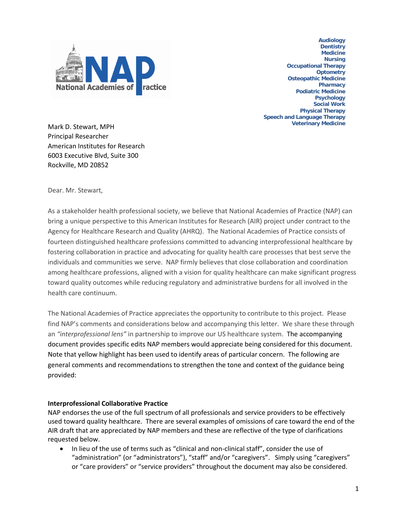

**Audiology Dentistry Medicine Nursing Occupational Therapy Optometry Osteopathic Medicine Pharmacy Podiatric Medicine Psychology Social Work Physical Therapy Speech and Language Therapy Veterinary Medicine**

Mark D. Stewart, MPH Principal Researcher American Institutes for Research 6003 Executive Blvd, Suite 300 Rockville, MD 20852

Dear. Mr. Stewart,

As a stakeholder health professional society, we believe that National Academies of Practice (NAP) can bring a unique perspective to this American Institutes for Research (AIR) project under contract to the Agency for Healthcare Research and Quality (AHRQ). The National Academies of Practice consists of fourteen distinguished healthcare professions committed to advancing interprofessional healthcare by fostering collaboration in practice and advocating for quality health care processes that best serve the individuals and communities we serve. NAP firmly believes that close collaboration and coordination among healthcare professions, aligned with a vision for quality healthcare can make significant progress toward quality outcomes while reducing regulatory and administrative burdens for all involved in the health care continuum.

The National Academies of Practice appreciates the opportunity to contribute to this project. Please find NAP's comments and considerations below and accompanying this letter. We share these through an *"interprofessional lens"* in partnership to improve our US healthcare system. The accompanying document provides specific edits NAP members would appreciate being considered for this document. Note that yellow highlight has been used to identify areas of particular concern. The following are general comments and recommendations to strengthen the tone and context of the guidance being provided:

## **Interprofessional Collaborative Practice**

NAP endorses the use of the full spectrum of all professionals and service providers to be effectively used toward quality healthcare. There are several examples of omissions of care toward the end of the AIR draft that are appreciated by NAP members and these are reflective of the type of clarifications requested below.

In lieu of the use of terms such as "clinical and non-clinical staff", consider the use of "administration" (or "administrators"), "staff" and/or "caregivers". Simply using "caregivers" or "care providers" or "service providers" throughout the document may also be considered.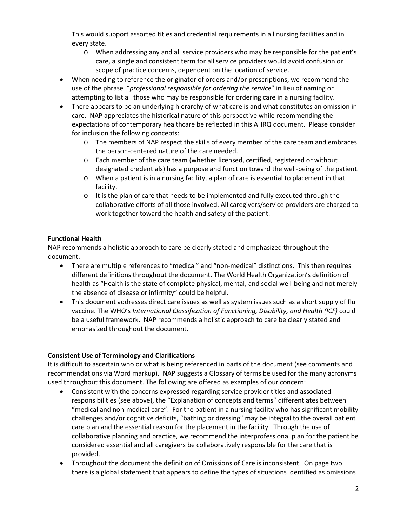This would support assorted titles and credential requirements in all nursing facilities and in every state.

- o When addressing any and all service providers who may be responsible for the patient's care, a single and consistent term for all service providers would avoid confusion or scope of practice concerns, dependent on the location of service.
- When needing to reference the originator of orders and/or prescriptions, we recommend the use of the phrase "*professional responsible for ordering the service*" in lieu of naming or attempting to list all those who may be responsible for ordering care in a nursing facility.
- There appears to be an underlying hierarchy of what care is and what constitutes an omission in care. NAP appreciates the historical nature of this perspective while recommending the expectations of contemporary healthcare be reflected in this AHRQ document. Please consider for inclusion the following concepts:
	- o The members of NAP respect the skills of every member of the care team and embraces the person-centered nature of the care needed.
	- o Each member of the care team (whether licensed, certified, registered or without designated credentials) has a purpose and function toward the well-being of the patient.
	- o When a patient is in a nursing facility, a plan of care is essential to placement in that facility.
	- o It is the plan of care that needs to be implemented and fully executed through the collaborative efforts of all those involved. All caregivers/service providers are charged to work together toward the health and safety of the patient.

# **Functional Health**

NAP recommends a holistic approach to care be clearly stated and emphasized throughout the document.

- There are multiple references to "medical" and "non-medical" distinctions. This then requires different definitions throughout the document. The World Health Organization's definition of health as "Health is the state of complete physical, mental, and social well-being and not merely the absence of disease or infirmity" could be helpful.
- This document addresses direct care issues as well as system issues such as a short supply of flu vaccine. The WHO's *International Classification of Functioning, Disability, and Health (ICF)* could be a useful framework. NAP recommends a holistic approach to care be clearly stated and emphasized throughout the document.

# **Consistent Use of Terminology and Clarifications**

It is difficult to ascertain who or what is being referenced in parts of the document (see comments and recommendations via Word markup). NAP suggests a Glossary of terms be used for the many acronyms used throughout this document. The following are offered as examples of our concern:

- Consistent with the concerns expressed regarding service provider titles and associated responsibilities (see above), the "Explanation of concepts and terms" differentiates between "medical and non-medical care". For the patient in a nursing facility who has significant mobility challenges and/or cognitive deficits, "bathing or dressing" may be integral to the overall patient care plan and the essential reason for the placement in the facility. Through the use of collaborative planning and practice, we recommend the interprofessional plan for the patient be considered essential and all caregivers be collaboratively responsible for the care that is provided.
- Throughout the document the definition of Omissions of Care is inconsistent. On page two there is a global statement that appears to define the types of situations identified as omissions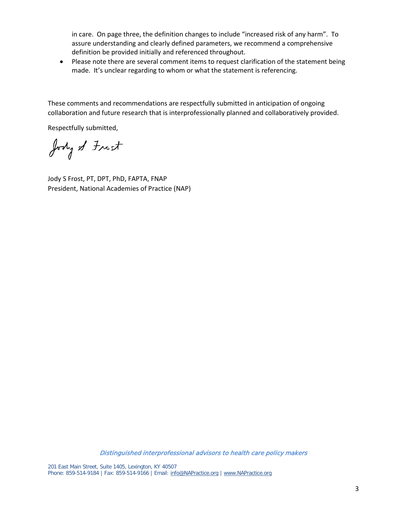in care. On page three, the definition changes to include "increased risk of any harm". To assure understanding and clearly defined parameters, we recommend a comprehensive definition be provided initially and referenced throughout.

• Please note there are several comment items to request clarification of the statement being made. It's unclear regarding to whom or what the statement is referencing.

These comments and recommendations are respectfully submitted in anticipation of ongoing collaboration and future research that is interprofessionally planned and collaboratively provided.

Respectfully submitted,

Jody of Frost

Jody S Frost, PT, DPT, PhD, FAPTA, FNAP President, National Academies of Practice (NAP)

Distinguished interprofessional advisors to health care policy makers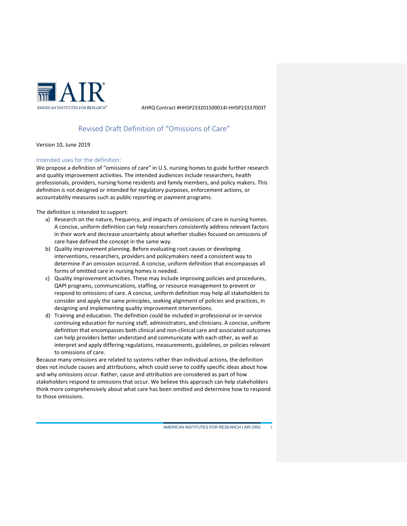

# Revised Draft Definition of "Omissions of Care"

Version 10, June 2019

### Intended uses for the definition:

We propose a definition of "omissions of care" in U.S. nursing homes to guide further research and quality improvement activities. The intended audiences include researchers, health professionals, providers, nursing home residents and family members, and policy makers. This definition is not designed or intended for regulatory purposes, enforcement actions, or accountability measures such as public reporting or payment programs.

The definition is intended to support:

- a) Research on the nature, frequency, and impacts of omissions of care in nursing homes. A concise, uniform definition can help researchers consistently address relevant factors in their work and decrease uncertainty about whether studies focused on omissions of care have defined the concept in the same way.
- b) Quality improvement planning. Before evaluating root causes or developing interventions, researchers, providers and policymakers need a consistent way to determine if an omission occurred. A concise, uniform definition that encompasses all forms of omitted care in nursing homes is needed.
- c) Quality improvement activities. These may include improving policies and procedures, QAPI programs, communications, staffing, or resource management to prevent or respond to omissions of care. A concise, uniform definition may help all stakeholders to consider and apply the same principles, seeking alignment of policies and practices, in designing and implementing quality improvement interventions.
- d) Training and education. The definition could be included in professional or in-service continuing education for nursing staff, administrators, and clinicians. A concise, uniform definition that encompasses both clinical and non-clinical care and associated outcomes can help providers better understand and communicate with each other, as well as interpret and apply differing regulations, measurements, guidelines, or policies relevant to omissions of care.

Because many omissions are related to systems rather than individual actions, the definition does not include causes and attributions, which could serve to codify specific ideas about how and why omissions occur. Rather, cause and attribution are considered as part of how stakeholders respond to omissions that occur. We believe this approach can help stakeholders think more comprehensively about what care has been omitted and determine how to respond to those omissions.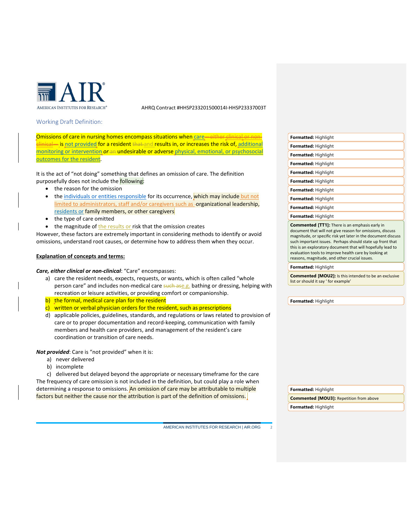

#### Working Draft Definition:

Omissions of care in nursing homes encompass situations when [care—](#page-4-0)either clinical or nonclinical— is [not provided](#page-4-1) for a resident that and results in, or increases the risk of, [additional](#page-5-0)  [monitoring or intervention](#page-5-0) *or* an undesirable or adverse [physical, emotional, or psychosocial](#page-5-1)  outcomes [for the resident.](#page-5-1)

It is the act of "not doing" something that defines an omission of care. The definition purposefully does not include the following:

- the reason for the omission
- the [individuals or entities responsible](#page-5-2) for its occurrence, which may include but not limited to administrators, staff and/or caregivers such as -organizational leadership, residents or family members, or other caregivers
- the type of care omitted
- the magnitude of the results or risk that the omission creates

However, these factors are extremely important in considering methods to identify or avoid omissions, understand root causes, or determine how to address them when they occur.

### **Explanation of concepts and terms:**

#### <span id="page-4-0"></span>*Care, either clinical or non-clinical*: "Care" encompasses:

- a) care the resident needs, expects, requests, or wants, which is often called "whole person care" and includes non-medical care such ase.g. bathing or dressing, helping with recreation or leisure activities, or providing comfort or companionship.
- b) the formal, medical care plan for the resident
- $\frac{c}{c}$  written or verbal physician orders for the resident, such as prescriptions
- d) applicable policies, guidelines, standards, and regulations or laws related to provision of care or to proper documentation and record-keeping, communication with family members and health care providers, and management of the resident's care coordination or transition of care needs.

<span id="page-4-1"></span>*Not provided*: Care is "not provided" when it is:

- a) never delivered
- b) incomplete

c) delivered but delayed beyond the appropriate or necessary timeframe for the care The frequency of care omission is not included in the definition, but could play a role when determining a response to omissions. An omission of care may be attributable to multiple factors but neither the cause nor the attribution is part of the definition of omissions.

AMERICAN INSTITUTES FOR RESEARCH | AIR.ORG 2

| Formatted: Highlight                                                                                                                                                                                                                                                                                            |
|-----------------------------------------------------------------------------------------------------------------------------------------------------------------------------------------------------------------------------------------------------------------------------------------------------------------|
| Formatted: Highlight                                                                                                                                                                                                                                                                                            |
| Formatted: Highlight                                                                                                                                                                                                                                                                                            |
| Formatted: Highlight                                                                                                                                                                                                                                                                                            |
| Formatted: Highlight                                                                                                                                                                                                                                                                                            |
| Formatted: Highlight                                                                                                                                                                                                                                                                                            |
| Formatted: Highlight                                                                                                                                                                                                                                                                                            |
| Formatted: Highlight                                                                                                                                                                                                                                                                                            |
| Formatted: Highlight                                                                                                                                                                                                                                                                                            |
| Formatted: Highlight                                                                                                                                                                                                                                                                                            |
| <b>Commented [TT1]:</b> There is an emphasis early in<br>document that will not give reason for omissions, discuss<br>magnitude, or specific risk yet later in the document discuss<br>such important issues. Perhaps should state up front that<br>this is an exploratory document that will hopefully lead to |

this is an exploratory document that will hopefully lead to evaluation tools to improve health care by looking at reasons, magnitude, and other crucial issues.

**Formatted:** Highlight

**Commented [MOU2]:** Is this intended to be an exclusive list or should it say ' for example'

**Formatted:** Highlight

**Formatted:** Highlight **Commented [MOU3]:** Repetition from above **Formatted:** Highlight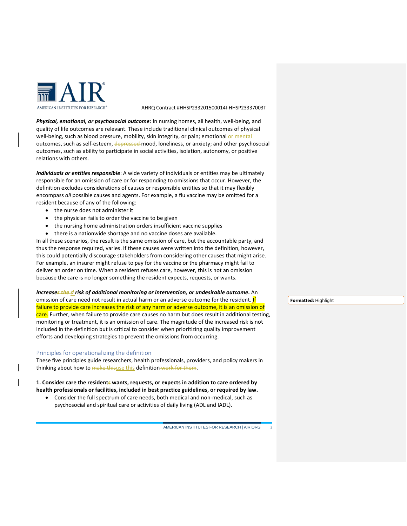

<span id="page-5-1"></span>*Physical, emotional, or psychosocial outcome:* In nursing homes, all health, well-being, and quality of life outcomes are relevant. These include traditional clinical outcomes of physical well-being, such as blood pressure, mobility, skin integrity, or pain; emotional or mental outcomes, such as self-esteem, depressed-mood, loneliness, or anxiety; and other psychosocial outcomes, such as ability to participate in social activities, isolation, autonomy, or positive relations with others.

<span id="page-5-2"></span>*Individuals or entities responsible*: A wide variety of individuals or entities may be ultimately responsible for an omission of care or for responding to omissions that occur. However, the definition excludes considerations of causes or responsible entities so that it may flexibly encompass *all* possible causes and agents. For example, a flu vaccine may be omitted for a resident because of any of the following:

- the nurse does not administer it
- the physician fails to order the vaccine to be given
- the nursing home administration orders insufficient vaccine supplies
- there is a nationwide shortage and no vaccine doses are available.

In all these scenarios, the result is the same omission of care, but the accountable party, and thus the response required, varies. If these causes were written into the definition, however, this could potentially discourage stakeholders from considering other causes that might arise. For example, an insurer might refuse to pay for the vaccine or the pharmacy might fail to deliver an order on time. When a resident refuses care, however, this is not an omission because the care is no longer something the resident expects, requests, or wants.

<span id="page-5-0"></span>*Increases the d risk of additional monitoring or intervention, or undesirable outcome***.** An omission of care need not result in actual harm or an adverse outcome for the resident. If failure to provide care increases the risk of any harm or adverse outcome, it is an omission of care. Further, when failure to provide care causes no harm but does result in additional testing, monitoring or treatment, it is an omission of care. The magnitude of the increased risk is not included in the definition but is critical to consider when prioritizing quality improvement efforts and developing strategies to prevent the omissions from occurring.

#### Principles for operationalizing the definition

These five principles guide researchers, health professionals, providers, and policy makers in thinking about how to make thisuse this definition work for them.

**1. Consider care the residents wants, requests, or expects in addition to care ordered by health professionals or facilities, included in best practice guidelines, or required by law.**

• Consider the full spectrum of care needs, both medical and non-medical, such as psychosocial and spiritual care or activities of daily living (ADL and IADL).

AMERICAN INSTITUTES FOR RESEARCH | AIR.ORG 3

**Formatted:** Highlight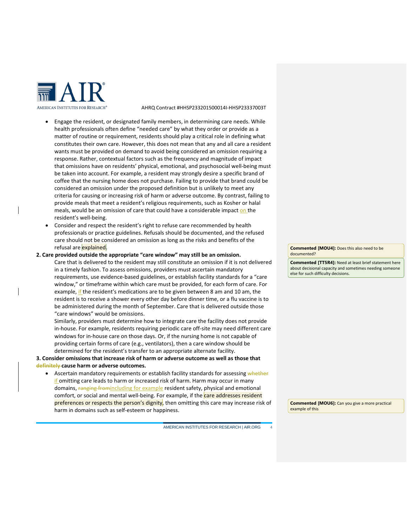

- Engage the resident, or designated family members, in determining care needs. While health professionals often define "needed care" by what they order or provide as a matter of routine or requirement, residents should play a critical role in defining what constitutes their own care. However, this does not mean that any and all care a resident wants must be provided on demand to avoid being considered an omission requiring a response. Rather, contextual factors such as the frequency and magnitude of impact that omissions have on residents' physical, emotional, and psychosocial well-being must be taken into account. For example, a resident may strongly desire a specific brand of coffee that the nursing home does not purchase. Failing to provide that brand could be considered an omission under the proposed definition but is unlikely to meet any criteria for causing or increasing risk of harm or adverse outcome. By contrast, failing to provide meals that meet a resident's religious requirements, such as Kosher or halal meals, would be an omission of care that could have a considerable impact on the resident's well-being.
- Consider and respect the resident's right to refuse care recommended by health professionals or practice guidelines. Refusals should be documented, and the refused care should not be considered an omission as long as the risks and benefits of the refusal are explained.
- **2. Care provided outside the appropriate "care window" may still be an omission.** Care that is delivered to the resident may still constitute an omission if it is not delivered in a timely fashion. To assess omissions, providers must ascertain mandatory requirements, use evidence-based guidelines, or establish facility standards for a "care window," or timeframe within which care must be provided, for each form of care. For example, if the resident's medications are to be given between 8 am and 10 am, the resident is to receive a shower every other day before dinner time, or a flu vaccine is to be administered during the month of September. Care that is delivered outside those "care windows" would be omissions.

Similarly, providers must determine how to integrate care the facility does not provide in-house. For example, residents requiring periodic care off-site may need different care windows for in-house care on those days. Or, if the nursing home is not capable of providing certain forms of care (e.g., ventilators), then a care window should be determined for the resident's transfer to an appropriate alternate facility.

### **3. Consider omissions that increase risk of harm or adverse outcome as well as those that definitely cause harm or adverse outcomes.**

• Ascertain mandatory requirements or establish facility standards for assessing whether if omitting care leads to harm or increased risk of harm. Harm may occur in many domains, ranging fromincluding for example resident safety, physical and emotional comfort, or social and mental well-being. For example, if the care addresses resident preferences or respects the person's dignity, then omitting this care may increase risk of harm in domains such as self-esteem or happiness.

AMERICAN INSTITUTES FOR RESEARCH | AIR.ORG 4

**Commented [MOU4]:** Does this also need to be documented?

**Commented [TT5R4]:** Need at least brief statement here about decisional capacity and sometimes needing someone else for such difficulty decisions.

**Commented [MOU6]:** Can you give a more practical example of this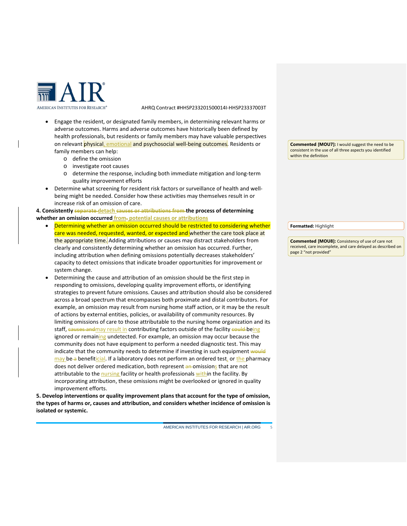

- Engage the resident, or designated family members, in determining relevant harms or adverse outcomes. Harms and adverse outcomes have historically been defined by health professionals, but residents or family members may have valuable perspectives on relevant physical, emotional and psychosocial well-being outcomes. Residents or family members can help:
	- o define the omission
	- o investigate root causes
	- o determine the response, including both immediate mitigation and long-term quality improvement efforts
- Determine what screening for resident risk factors or surveillance of health and wellbeing might be needed. Consider how these activities may themselves result in or increase risk of an omission of care.

**4. Consistently separate detach causes or attributions from the process of determining whether an omission occurred from. potential causes or attributions**

- Determining whether an omission occurred should be restricted to considering whether care was needed, requested, wanted, or expected and whether the care took place at the appropriate time. Adding attributions or causes may distract stakeholders from clearly and consistently determining whether an omission has occurred. Further, including attribution when defining omissions potentially decreases stakeholders' capacity to detect omissions that indicate broader opportunities for improvement or system change.
- Determining the cause and attribution of an omission should be the first step in responding to omissions, developing quality improvement efforts, or identifying strategies to prevent future omissions. Causes and attribution should also be considered across a broad spectrum that encompasses both proximate and distal contributors. For example, an omission may result from nursing home staff action, or it may be the result of actions by external entities, policies, or availability of community resources. By limiting omissions of care to those attributable to the nursing home organization and its staff, causes and may result in contributing factors outside of the facility could being ignored or remaining undetected. For example, an omission may occur because the community does not have equipment to perform a needed diagnostic test. This may indicate that the community needs to determine if investing in such equipment would may be a benefiticial. If a laboratory does not perform an ordered test, or the pharmacy does not deliver ordered medication, both represent an omissions that are not attributable to the nursing facility or health professionals within the facility. By incorporating attribution, these omissions might be overlooked or ignored in quality improvement efforts.

**5. Develop interventions or quality improvement plans that account for the type of omission, the types of harms or, causes and attribution, and considers whether incidence of omission is isolated or systemic.**

AMERICAN INSTITUTES FOR RESEARCH | AIR.ORG 5

**Commented [MOU7]:** I would suggest the need to be consistent in the use of all three aspects you identified within the definition

**Formatted:** Highlight

**Commented [MOU8]:** Consistency of use of care not received, care incomplete, and care delayed as described on page 2 "not provided"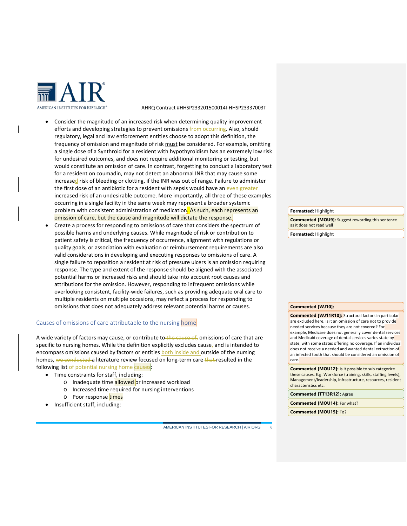

- Consider the magnitude of an increased risk when determining quality improvement efforts and developing strategies to prevent omissions from occurring. Also, should regulatory, legal and law enforcement entities choose to adopt this definition, the frequency of omission and magnitude of risk must be considered. For example, omitting a single dose of a Synthroid for a resident with hypothyroidism has an extremely low risk for undesired outcomes, and does not require additional monitoring or testing, but would constitute an omission of care. In contrast, forgetting to conduct a laboratory test for a resident on coumadin, may not detect an abnormal INR that may cause some increased risk of bleeding or clotting, if the INR was out of range. Failure to administer the first dose of an antibiotic for a resident with sepsis would have an even greater increased risk of an undesirable outcome. More importantly, all three of these examples occurring in a single facility in the same week may represent a broader systemic problem with consistent administration of medication. As such, each represents an omission of care, but the cause and magnitude will dictate the response.
- Create a process for responding to omissions of care that considers the spectrum of possible harms and underlying causes. While magnitude of risk or contribution to patient safety is critical, the frequency of occurrence, alignment with regulations or quality goals, or association with evaluation or reimbursement requirements are also valid considerations in developing and executing responses to omissions of care. A single failure to reposition a resident at risk of pressure ulcers is an omission requiring response. The type and extent of the response should be aligned with the associated potential harms or increased risks and should take into account root causes and attributions for the omission. However, responding to infrequent omissions while overlooking consistent, facility-wide failures, such as providing adequate oral care to multiple residents on multiple occasions, may reflect a process for responding to omissions that does not adequately address relevant potential harms or causes.

#### Causes of omissions of care attributable to the nursing home

A wide variety of factors may cause, or contribute to the cause of, omissions of care that are specific to nursing homes. While the definition explicitly excludes cause, and is intended to encompass omissions caused by factors or entities both inside and outside of the nursing homes, we conducted a literature review focused on long-term care that resulted in the following list of potential nursing home causes

- Time constraints for staff, including:
	- o Inadequate time allowed or increased workload
	- o Increased time required for nursing interventions
	- o Poor response times
- Insufficient staff, including:

**Formatted:** Highlight

**Commented [MOU9]:** Suggest rewording this sentence as it does not read well

**Formatted:** Highlight

#### **Commented [WJ10]:**

**Commented [WJ11R10]:** Structural factors in particular are excluded here. Is it an omission of care not to provide needed services because they are not covered? For example, Medicare does not generally cover dental services and Medicaid coverage of dental services varies state by state, with some states offering no coverage. If an individual does not receive a needed and wanted dental extraction of an infected tooth that should be considered an omission of care.

**Commented [MOU12]:** Is it possible to sub categorize these causes. E.g. Workforce (training, skills, staffing levels), Management/leadership, infrastructure, resources, resident characteristics etc.

**Commented [TT13R12]:** Agree

**Commented [MOU14]:** For what?

**Commented [MOU15]:** To?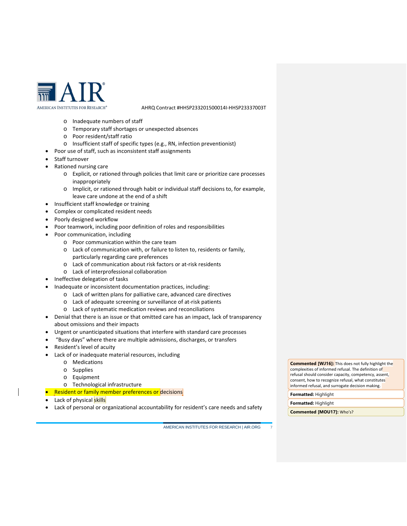

- o Inadequate numbers of staff
- o Temporary staff shortages or unexpected absences
- o Poor resident/staff ratio
- o Insufficient staff of specific types (e.g., RN, infection preventionist)
- Poor use of staff, such as inconsistent staff assignments
- Staff turnover
- Rationed nursing care
	- o Explicit, or rationed through policies that limit care or prioritize care processes inappropriately
	- o Implicit, or rationed through habit or individual staff decisions to, for example, leave care undone at the end of a shift
- Insufficient staff knowledge or training
- Complex or complicated resident needs
- Poorly designed workflow
- Poor teamwork, including poor definition of roles and responsibilities
- Poor communication, including
	- o Poor communication within the care team
	- o Lack of communication with, or failure to listen to, residents or family, particularly regarding care preferences
	- o Lack of communication about risk factors or at-risk residents
	- o Lack of interprofessional collaboration
- Ineffective delegation of tasks
- Inadequate or inconsistent documentation practices, including:
	- o Lack of written plans for palliative care, advanced care directives
	- o Lack of adequate screening or surveillance of at-risk patients
	- o Lack of systematic medication reviews and reconciliations
- Denial that there is an issue or that omitted care has an impact, lack of transparency about omissions and their impacts
- Urgent or unanticipated situations that interfere with standard care processes
- "Busy days" where there are multiple admissions, discharges, or transfers
- Resident's level of acuity
- Lack of or inadequate material resources, including
	- o Medications
	- o Supplies
	- o Equipment
	- o Technological infrastructure
- Resident or family member preferences or decisions
- Lack of physical skills
- Lack of personal or organizational accountability for resident's care needs and safety

AMERICAN INSTITUTES FOR RESEARCH | AIR.ORG 7

**Commented [WJ16]:** This does not fully highlight the complexities of informed refusal. The definition of refusal should consider capacity, competency, assent, consent, how to recognize refusal, what constitutes informed refusal, and surrogate decision making.

**Formatted:** Highlight **Formatted:** Highlight

**Commented [MOU17]:** Who's?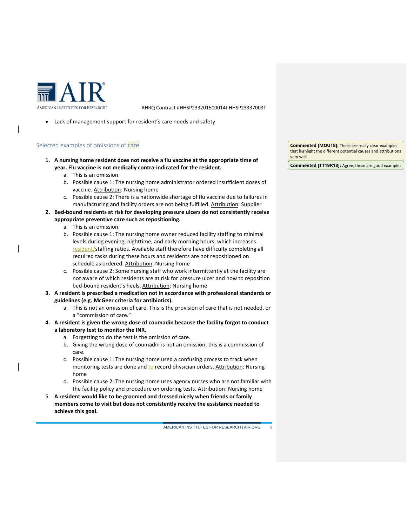

• Lack of management support for resident's care needs and safety

### Selected examples of omissions of care

- **1. A nursing home resident does not receive a flu vaccine at the appropriate time of year. Flu vaccine is not medically contra-indicated for the resident.**
	- a. This is an omission.
	- b. Possible cause 1: The nursing home administrator ordered insufficient doses of vaccine. Attribution: Nursing home
	- c. Possible cause 2: There is a nationwide shortage of flu vaccine due to failures in manufacturing and facility orders are not being fulfilled. Attribution: Supplier
- **2. Bed-bound residents at risk for developing pressure ulcers do not consistently receive appropriate preventive care such as repositioning.**
	- a. This is an omission.
	- b. Possible cause 1: The nursing home owner reduced facility staffing to minimal levels during evening, nighttime, and early morning hours, which increases resident/staffing ratios. Available staff therefore have difficulty completing all required tasks during these hours and residents are not repositioned on schedule as ordered. Attribution: Nursing home
	- c. Possible cause 2: Some nursing staff who work intermittently at the facility are not aware of which residents are at risk for pressure ulcer and how to reposition bed-bound resident's heels. Attribution: Nursing home
- **3. A resident is prescribed a medication not in accordance with professional standards or guidelines (e.g. McGeer criteria for antibiotics).**
	- a. This is not an omission of care. This is the provision of care that is not needed, or a "commission of care."
- **4. A resident is given the wrong dose of coumadin because the facility forgot to conduct a laboratory test to monitor the INR.** 
	- a. Forgetting to do the test is the omission of care.
	- b. Giving the wrong dose of coumadin is not an omission; this is a commission of care.
	- c. Possible cause 1: The nursing home used a confusing process to track when monitoring tests are done and to record physician orders. Attribution: Nursing home
	- d. Possible cause 2: The nursing home uses agency nurses who are not familiar with the facility policy and procedure on ordering tests. Attribution: Nursing home
- 5. **A resident would like to be groomed and dressed nicely when friends or family members come to visit but does not consistently receive the assistance needed to achieve this goal.**

**Commented [MOU18]:** These are really clear examples that highlight the different potential causes and attributions very well

**Commented [TT19R18]:** Agree, these are good examples